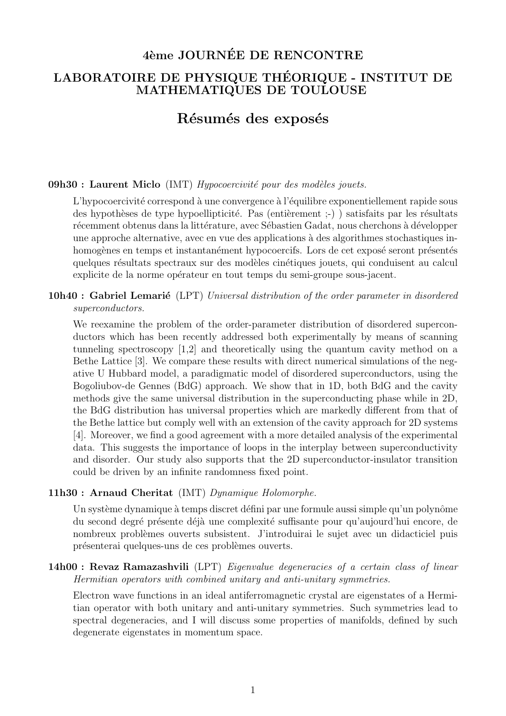# 4ème JOURNÉE DE RENCONTRE

## LABORATOIRE DE PHYSIQUE THÉORIQUE - INSTITUT DE MATHEMATIQUES DE TOULOUSE

# Résumés des exposés

#### $09h30$ : Laurent Miclo (IMT) Hypocoercivité pour des modèles jouets.

L'hypocoercivité correspond à une convergence à l'équilibre exponentiellement rapide sous des hypothèses de type hypoellipticité. Pas (entièrement ;-) ) satisfaits par les résultats récemment obtenus dans la littérature, avec Sébastien Gadat, nous cherchons à développer une approche alternative, avec en vue des applications à des algorithmes stochastiques inhomogènes en temps et instantanément hypocoercifs. Lors de cet exposé seront présentés quelques résultats spectraux sur des modèles cinétiques jouets, qui conduisent au calcul explicite de la norme opérateur en tout temps du semi-groupe sous-jacent.

### **10h40**: Gabriel Lemarié (LPT) Universal distribution of the order parameter in disordered superconductors.

We reexamine the problem of the order-parameter distribution of disordered superconductors which has been recently addressed both experimentally by means of scanning tunneling spectroscopy  $[1,2]$  and theoretically using the quantum cavity method on a Bethe Lattice [3]. We compare these results with direct numerical simulations of the negative U Hubbard model, a paradigmatic model of disordered superconductors, using the Bogoliubov-de Gennes (BdG) approach. We show that in 1D, both BdG and the cavity methods give the same universal distribution in the superconducting phase while in 2D, the BdG distribution has universal properties which are markedly different from that of the Bethe lattice but comply well with an extension of the cavity approach for 2D systems [4]. Moreover, we find a good agreement with a more detailed analysis of the experimental data. This suggests the importance of loops in the interplay between superconductivity and disorder. Our study also supports that the 2D superconductor-insulator transition could be driven by an infinite randomness fixed point.

#### 11h30: Arnaud Cheritat (IMT) Dynamique Holomorphe.

Un système dynamique à temps discret défini par une formule aussi simple qu'un polynôme du second degré présente déjà une complexité suffisante pour qu'aujourd'hui encore, de nombreux problèmes ouverts subsistent. J'introduirai le sujet avec un didacticiel puis présenterai quelques-uns de ces problèmes ouverts.

### 14h00 : Revaz Ramazashvili (LPT) Eigenvalue degeneracies of a certain class of linear Hermitian operators with combined unitary and anti-unitary symmetries.

Electron wave functions in an ideal antiferromagnetic crystal are eigenstates of a Hermitian operator with both unitary and anti-unitary symmetries. Such symmetries lead to spectral degeneracies, and I will discuss some properties of manifolds, defined by such degenerate eigenstates in momentum space.